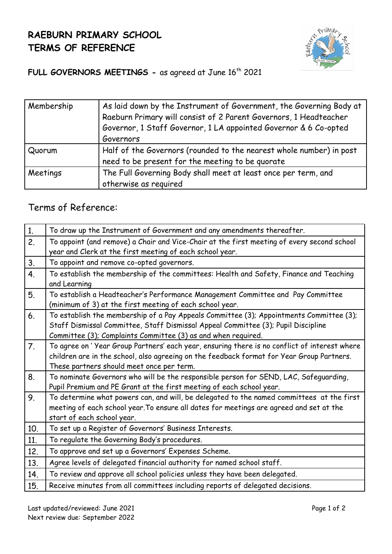## **RAEBURN PRIMARY SCHOOL TERMS OF REFERENCE**



## FULL GOVERNORS MEETINGS - as agreed at June 16<sup>th</sup> 2021

| Membership | As laid down by the Instrument of Government, the Governing Body at |
|------------|---------------------------------------------------------------------|
|            | Raeburn Primary will consist of 2 Parent Governors, 1 Headteacher   |
|            | Governor, 1 Staff Governor, 1 LA appointed Governor & 6 Co-opted    |
|            | Governors                                                           |
| Quorum     | Half of the Governors (rounded to the nearest whole number) in post |
|            | need to be present for the meeting to be quorate                    |
| Meetings   | The Full Governing Body shall meet at least once per term, and      |
|            | otherwise as required                                               |

## Terms of Reference:

| 1.             | To draw up the Instrument of Government and any amendments thereafter.                                                                                                                                                                        |
|----------------|-----------------------------------------------------------------------------------------------------------------------------------------------------------------------------------------------------------------------------------------------|
| 2.             | To appoint (and remove) a Chair and Vice-Chair at the first meeting of every second school<br>year and Clerk at the first meeting of each school year.                                                                                        |
| 3.             | To appoint and remove co-opted governors.                                                                                                                                                                                                     |
| 4.             | To establish the membership of the committees: Health and Safety, Finance and Teaching<br>and Learning                                                                                                                                        |
| 5.             | To establish a Headteacher's Performance Management Committee and Pay Committee<br>(minimum of 3) at the first meeting of each school year.                                                                                                   |
| 6.             | To establish the membership of a Pay Appeals Committee (3); Appointments Committee (3);<br>Staff Dismissal Committee, Staff Dismissal Appeal Committee (3); Pupil Discipline<br>Committee (3); Complaints Committee (3) as and when required. |
| 7 <sub>1</sub> | To agree on 'Year Group Partners' each year, ensuring there is no conflict of interest where<br>children are in the school, also agreeing on the feedback format for Year Group Partners.<br>These partners should meet once per term.        |
| 8.             | To nominate Governors who will be the responsible person for SEND, LAC, Safeguarding,<br>Pupil Premium and PE Grant at the first meeting of each school year.                                                                                 |
| 9.             | To determine what powers can, and will, be delegated to the named committees at the first<br>meeting of each school year. To ensure all dates for meetings are agreed and set at the<br>start of each school year.                            |
| 10.            | To set up a Register of Governors' Business Interests.                                                                                                                                                                                        |
| 11.            | To regulate the Governing Body's procedures.                                                                                                                                                                                                  |
| 12.            | To approve and set up a Governors' Expenses Scheme.                                                                                                                                                                                           |
| 13.            | Agree levels of delegated financial authority for named school staff.                                                                                                                                                                         |
| 14.            | To review and approve all school policies unless they have been delegated.                                                                                                                                                                    |
| 15.            | Receive minutes from all committees including reports of delegated decisions.                                                                                                                                                                 |